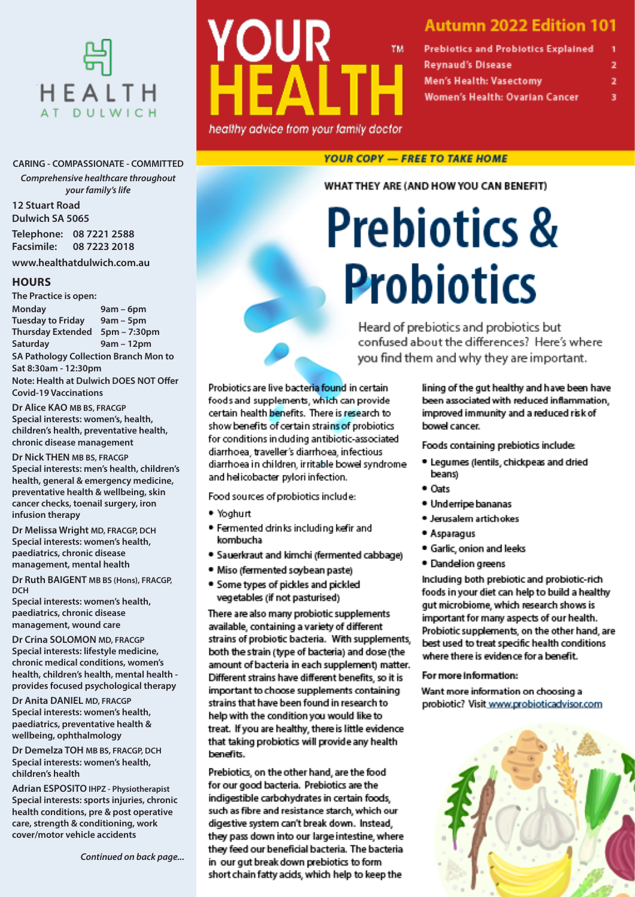

#### **CARING - COMPASSIONATE - COMMITTED**

*Comprehensive healthcare throughout your family's life*

**12 Stuart Road Dulwich SA 5065 Telephone: 08 7221 2588**

**Facsimile: 08 7223 2018 www.healthatdulwich.com.au**

### **HOURS**

**The Practice is open: Monday 9am – 6pm Tuesday to Friday 9am – 5pm Thursday Extended 5pm – 7:30pm Saturday 9am – 12pm SA Pathology Collection Branch Mon to Sat 8:30am - 12:30pm Note: Health at Dulwich DOES NOT Offer** 

**Covid-19 Vaccinations Dr Alice KAO MB BS, FRACGP**

**Special interests: women's, health, children's health, preventative health, chronic disease management**

**Dr Nick THEN MB BS, FRACGP Special interests: men's health, children's health, general & emergency medicine, preventative health & wellbeing, skin cancer checks, toenail surgery, iron infusion therapy**

**Dr Melissa Wright MD, FRACGP, DCH Special interests: women's health, paediatrics, chronic disease management, mental health**

**Dr Ruth BAIGENT MB BS (Hons), FRACGP, DCH**

**Special interests: women's health, paediatrics, chronic disease management, wound care**

**Dr Crina SOLOMON MD, FRACGP Special interests: lifestyle medicine, chronic medical conditions, women's health, children's health, mental health provides focused psychological therapy**

**Dr Anita DANIEL MD, FRACGP Special interests: women's health, paediatrics, preventative health & wellbeing, ophthalmology**

**Dr Demelza TOH MB BS, FRACGP, DCH Special interests: women's health, children's health**

**Adrian ESPOSITO IHPZ - Physiotherapist Special interests: sports injuries, chronic health conditions, pre & post operative care, strength & conditioning, work cover/motor vehicle accidents**

*Continued on back page...*



### **Autumn 2022 Edition 101**

| <b>Prebiotics and Probiotics Explained</b> |   |
|--------------------------------------------|---|
| <b>Reynaud's Disease</b>                   | 2 |
| <b>Men's Health: Vasectomy</b>             | 2 |
| Women's Health: Ovarian Cancer             | з |

### **YOUR COPY - FREE TO TAKE HOME**

WHAT THEY ARE (AND HOW YOU CAN BENEFIT)

# **Prebiotics & Probiotics**

Heard of prebiotics and probiotics but confused about the differences? Here's where you find them and why they are important.

Probiotics are live bacteria found in certain foods and supplements, which can provide certain health benefits. There is research to show benefits of certain strains of probiotics for conditions in duding antibiotic-associated diarrhoea, traveller's diarrhoea, infectious diarrhoea in children, ir ritable bowel syndrome and helicobacter pylori infection.

Food sources of probiotics include:

- · Yoghurt
- . Fermented drinks including kefir and kombucha
- · Sauerkraut and kimchi (fermented cabbage)
- · Miso (fermented soybean paste)
- . Some types of pickles and pickled vegetables (if not pasturised)

There are also many probiotic supplements available, containing a variety of different strains of probiotic bacteria. With supplements, both the strain (type of bacteria) and dose (the amount of bacteria in each supplement) matter. Different strains have different benefits, so it is important to choose supplements containing strains that have been found in research to help with the condition you would like to treat. If you are healthy, there is little evidence that taking probiotics will provide any health benefits.

Prebiotics, on the other hand, are the food for our good bacteria. Prebiotics are the indigestible carbohydrates in certain foods, such as fibre and resistance starch, which our digestive system can't break down. Instead, they pass down into our large intestine, where they feed our beneficial bacteria. The bacteria in our gut break down prebiotics to form short chain fatty acids, which help to keep the

lining of the gut healthy and have been have been associated with reduced inflammation, improved immunity and a reduced risk of bowel cancer.

Foods containing prebiotics include:

- . Legumes (lentils, chickpeas and dried beans)
- · Oats
- · Underripe bananas
- · Jerusalem artichokes
- · Asparagus
- · Garlic, onion and leeks
- · Dandelion greens

Including both prebiotic and probiotic-rich foods in your diet can help to build a healthy gut microbiome, which research shows is important for many aspects of our health. Probiotic supplements, on the other hand, are best used to treat specific health conditions where there is evidence for a benefit.

### For more information:

Want more information on choosing a probiotic? Visit www.probioticadvisor.com

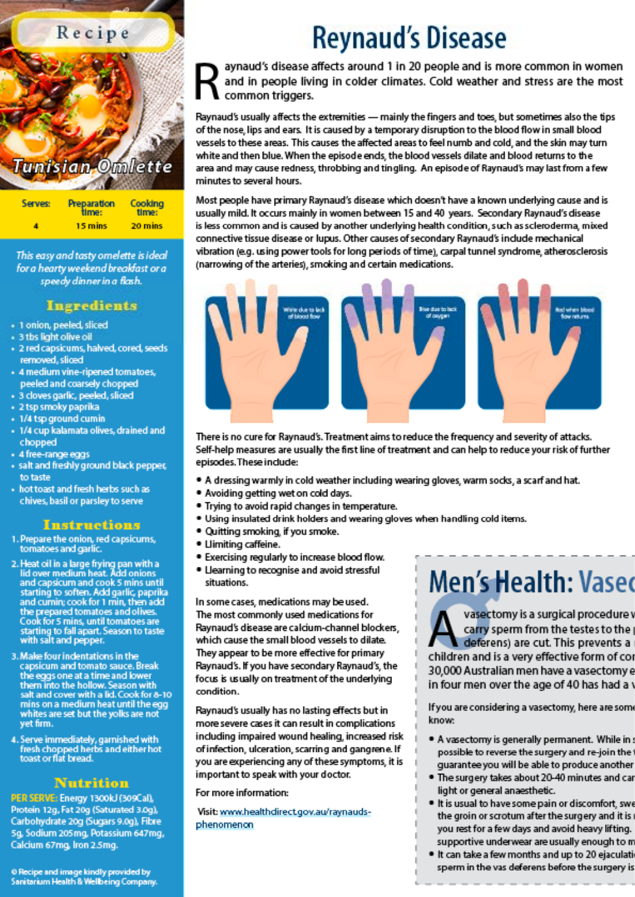

This easy and tasty omelette is ideal for a hearty weekend breakfast or a speedy dinner in a flash.

### Ingredients

- · 1 onion, peeled, sliced
- + 3 tbs light olive oil
- · 2 red capsicums, halved, cored, seeds removed, sliced
- + 4 medium vine-ripened tomatoes, peeled and coarsely chopped
- · 3 cloves garlic, peeled, sliced
- + 2 tsp smoky paprika
- 1/4 tsp ground cumin
- + 1/4 cup kalamata olives, drained and chopped
- · 4 free-range eggs
- salt and freshly ground black pepper, to taste
- + hot toast and fresh herbs such as chives, basil or parsley to serve

### **Instructions**

- 1. Prepare the onion, red capsicums, tomatoes and garlic.
- 2. Heat oil in a large frying pan with a<br>lid over medium heat. Add onions<br>and capsicum and cook 5 mins until starting to soften. Add garlic, paprika<br>and cumin; cook for 1 min, then add the prepared tomatoes and olives. Cook for 5 mins, until tomatoes are starting to fall apart. Season to taste with salt and pepper.
- 3. Make four indentations in the capsicum and tomato sauce. Break the eggs one at a time and lower<br>them into the hollow. Season with<br>salt and cover with a lid. Cook for 8-10 mins on a medium heat until the egg whites are set but the yolks are not vet firm.
- 4. Serve immediately, garnished with fresh chopped herbs and either hot<br>toast or flat bread.

### Nutrition

PER SERVE: Energy 1300kJ (309Cal), Protein 12g, Fat 20g (Saturated 3.0g), Carbohydrate 20g (Sugars 9.0g), Fibre 5g, Sodium 205mg, Potassium 647mg, Calcium 67mg, Iron 2.5mg.

#### @ Recipe and image kindly provided by Sanitarium Health & Wellbeing Company.

## **Reynaud's Disease**

aynaud's disease affects around 1 in 20 people and is more common in women and in people living in colder climates. Cold weather and stress are the most common triggers.

Raynaud's usually affects the extremities — mainly the fingers and toes, but sometimes also the tips of the nose, lips and ears. It is caused by a temporary disruption to the blood flow in small blood vessels to these areas. This causes the affected areas to feel numb and cold, and the skin may turn white and then blue. When the episode ends, the blood vessels dilate and blood returns to the area and may cause redness, throbbing and tingling. An episode of Raynaud's may last from a few minutes to several hours.

Most people have primary Raynaud's disease which doesn't have a known underlying cause and is usually mild. It occurs mainly in women between 15 and 40 years. Secondary Raynaud's disease is less common and is caused by another underlying health condition, such as scleroderma, mixed connective tissue disease or lupus. Other causes of secondary Raynaud's include mechanical vibration (e.g. using power tools for long periods of time), carpal tunnel syndrome, atherosclerosis (narrowing of the arteries), smoking and certain medications.



There is no cure for Raynaud's. Treatment aims to reduce the frequency and severity of attacks. Self-help measures are usually the first line of treatment and can help to reduce your risk of further episodes. These include:

- . A dressing warmly in cold weather including wearing gloves, warm socks, a scarf and hat.
- . Avoiding getting wet on cold days.
- . Trying to avoid rapid changes in temperature.
- . Using insulated drink holders and wearing gloves when handling cold items.
- . Quitting smoking, if you smoke.
- · Llimiting caffeine.
- . Exercising regularly to increase blood flow.
- . Llearning to recognise and avoid stressful situations.

In some cases, medications may be used. The most commonly used medications for Raynaud's disease are calcium-channel blockers. which cause the small blood vessels to dilate. They appear to be more effective for primary Raynaud's. If you have secondary Raynaud's, the focus is usually on treatment of the underlying condition.

Raynaud's usually has no lasting effects but in more severe cases it can result in complications including impaired wound healing, increased risk of infection, ulceration, scarring and gangrene. If you are experiencing any of these symptoms, it is important to speak with your doctor.

For more information:

Visit: www.healthdirect.gov.au/raynaudsphenomenon

## **Men's Health: Vased**

vasectomy is a surgical procedure y carry sperm from the testes to the deferens) are cut. This prevents a children and is a very effective form of cor 30,000 Australian men have a vasectomy e in four men over the age of 40 has had a

If you are considering a vasectomy, here are som know:

- . A vasectomy is generally permanent. While in possible to reverse the surgery and re-join the quarantee you will be able to produce another
- . The surgery takes about 20-40 minutes and car light or general anaesthetic.
- . It is usual to have some pain or discomfort, swe the groin or scrotum after the surgery and it is you rest for a few days and avoid heavy lifting. supportive underwear are usually enough to m
- . It can take a few months and up to 20 ejaculati sperm in the vas deferens before the surgery is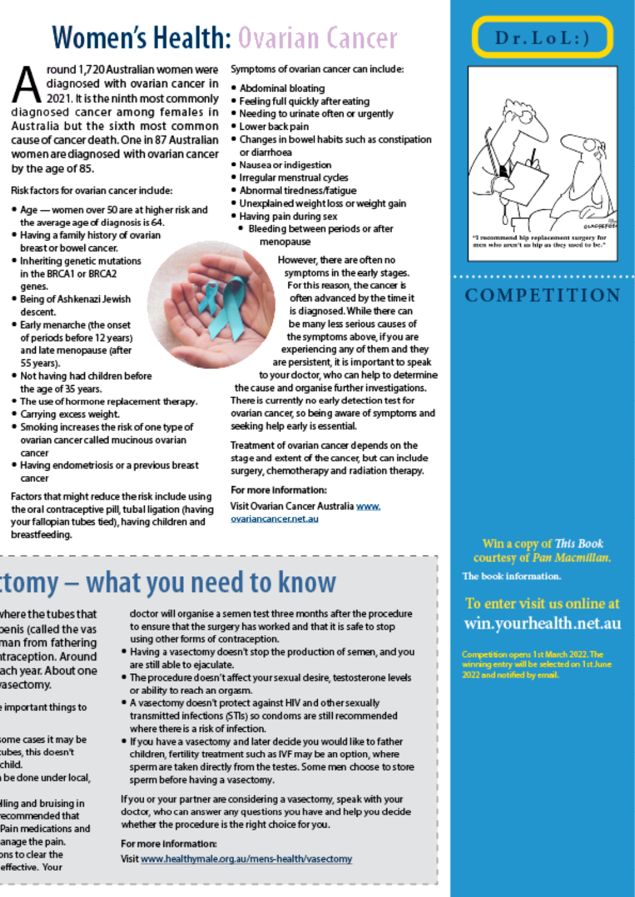## **Women's Health: Ovarian Cancer**

round 1,720 Australian women were diagnosed with ovarian cancer in 2021. It is the ninth most commonly diagnosed cancer among females in Australia but the sixth most common cause of cancer death. One in 87 Australian women are diagnosed with ovarian cancer by the age of 85.

Risk factors for ovarian cancer include:

- . Age women over 50 are at higher risk and the average age of diagnosis is 64.
- . Having a family history of ovarian breast or bowel cancer.
- · Inheriting genetic mutations in the BRCA1 or BRCA2 genes.
- · Being of Ashkenazi Jewish descent
- . Early menarche (the onset of periods before 12 years) and late menopause (after 55 years).
- Not having had children before the age of 35 years.
- . The use of hormone replacement therapy.
- · Carrying excess weight.
- . Smoking increases the risk of one type of ovarian cancer called mucinous ovarian cancer
- . Having endometriosis or a previous breast cancer

Factors that might reduce the risk include using the oral contraceptive pill, tubal ligation (having your fallopian tubes tied), having children and breastfeeding.

Symptoms of ovarian cancer can include:

- . Abdominal bloating
- · Feeling full guickly after eating
- . Needing to urinate often or urgently
- · Lower back pain
- . Changes in bowel habits such as constipation or diarrhoea
- · Nausea or indigestion
- · Irregular menstrual cycles
- · Abnormal tiredness/fatigue
- · Unexplained weight loss or weight gain
- · Having pain during sex
	- · Bleeding between periods or after menopause

However, there are often no symptoms in the early stages. For this reason, the cancer is

often advanced by the time it is diagnosed. While there can be many less serious causes of the symptoms above, if you are experiencing any of them and they are persistent, it is important to speak

to your doctor, who can help to determine the cause and organise further investigations. There is currently no early detection test for ovarian cancer, so being aware of symptoms and seeking help early is essential.

Treatment of ovarian cancer depends on the stage and extent of the cancer, but can include surgery, chemotherapy and radiation therapy.

### For more Information:

Visit Ovarian Cancer Australia www. ovariancancer.net.au

## tomy – what you need to know:

vhere the tubes that penis (called the vas man from fathering traception. Around ach year. About one asectomy.

e important things to

some cases it may be tubes, this doesn't child. be done under local.

lling and bruising in recommended that Pain medications and anage the pain. ons to clear the effective. Your

- doctor will organise a semen test three months after the procedure to ensure that the surgery has worked and that it is safe to stop using other forms of contraception.
- . Having a vasectomy doesn't stop the production of semen, and you are still able to ejaculate.
- . The procedure doesn't affect your sexual desire, testosterone levels or ability to reach an orgasm.
- . A vasectomy doesn't protect against HIV and other sexually transmitted infections (STIs) so condoms are still recommended where there is a risk of infection.
- . If you have a vasectomy and later decide you would like to father children, fertility treatment such as IVF may be an option, where sperm are taken directly from the testes. Some men choose to store sperm before having a vasectomy.

If you or your partner are considering a vasectomy, speak with your doctor, who can answer any questions you have and help you decide whether the procedure is the right choice for you.

### For more information:

Visit www.healthymale.org.au/mens-health/vasectomy

### $Dr.LoL$ :)



### **COMPETITION**

### Win a copy of This Book courtesy of Pan Macmillan. The book information.

To enter visit us online at win.yourhealth.net.au

Competition opens 1st March 2022. The winning entry will be selected on 1st June<br>2022 and notified by email.